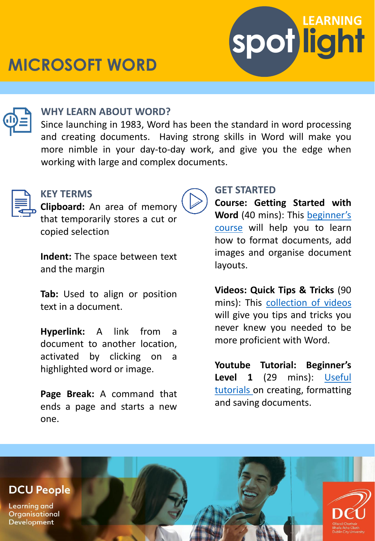# **MICROSOFT WORD**



### **WHY LEARN ABOUT WORD?**

Since launching in 1983, Word has been the standard in word processing and creating documents. Having strong skills in Word will make you more nimble in your day-to-day work, and give you the edge when working with large and complex documents.



#### **KEY TERMS**

**Clipboard:** An area of memory that temporarily stores a cut or copied selection

**Indent:** The space between text and the margin

**Tab:** Used to align or position text in a document.

**Hyperlink:** A link from a document to another location, activated by clicking on a highlighted word or image.

**Page Break:** A command that ends a page and starts a new one.

## **GET STARTED**

**Course: Getting Started with Word** (40 mins): This [beginner's](https://www.linkedin.com/learning-login/share?account=2372722&forceAccount=false&redirect=https://www.linkedin.com/learning/learning-word-desktop-office-365-microsoft-365-2018?trk%3Dshare_ent_url%26shareId%3DYgnDKnOOQ8%2B3NYK8wouQuw%3D%3D) course will help you to learn how to format documents, add images and organise document layouts.

**spot light**

**LEARNING**

**Videos: Quick Tips & Tricks** (90 mins): This [collection](https://www.linkedin.com/learning-login/share?account=2372722&forceAccount=false&redirect=https://www.linkedin.com/learning/word-quick-tips?trk%3Dshare_ent_url%26shareId%3DUHWWUPubREavTnyqRGpyJw%3D%3D) of videos will give you tips and tricks you never knew you needed to be more proficient with Word.

**Youtube Tutorial: Beginner's Level 1** (29 mins): Useful tutorials on creating, [formatting](https://www.youtube.com/watch?v=HC13M8FGlNc) and saving documents.